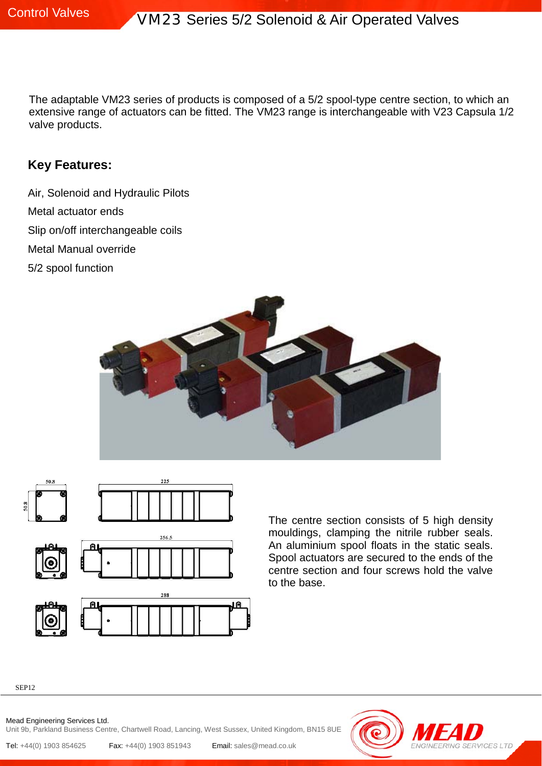The adaptable VM23 series of products is composed of a 5/2 spool-type centre section, to which an extensive range of actuators can be fitted. The VM23 range is interchangeable with V23 Capsula 1/2 valve products.

### **Key Features:**

Air, Solenoid and Hydraulic Pilots Metal actuator ends Slip on/off interchangeable coils Metal Manual override 5/2 spool function





The centre section consists of 5 high density mouldings, clamping the nitrile rubber seals. An aluminium spool floats in the static seals. Spool actuators are secured to the ends of the centre section and four screws hold the valve to the base.

SEP12

Mead Engineering Services Ltd. Unit 9b, Parkland Business Centre, Chartwell Road, Lancing, West Sussex, United Kingdom, BN15 8UE

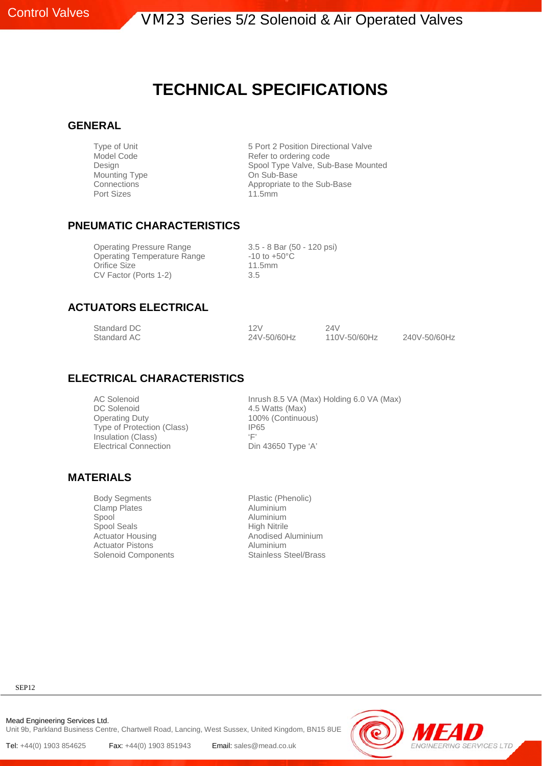**Control Valves VM23 Series 5/2 Solenoid & Air Operated Valves** 

## **TECHNICAL SPECIFICATIONS**

#### **GENERAL**

Mounting Type<br>Connections Port Sizes 11.5mm

Type of Unit<br>
5 Port 2 Position Directional Valve<br>
Refer to ordering code<br>
Refer to ordering code Refer to ordering code Design Spool Type Valve, Sub-Base Mounted<br>
Mounting Type Sub-Base<br>
On Sub-Base Appropriate to the Sub-Base

#### **PNEUMATIC CHARACTERISTICS**

Operating Pressure Range 3.5 - 8 Bar (50 - 120 psi)<br>Operating Temperature Range 410 to +50°C Operating Temperature Range -10 to +10<br>Orifice Size 11.5mm Orifice Size CV Factor (Ports 1-2) 3.5

#### **ACTUATORS ELECTRICAL**

| Standard DC | 12V         | 24V          |              |
|-------------|-------------|--------------|--------------|
| Standard AC | 24V-50/60Hz | 110V-50/60Hz | 240V-50/60Hz |

#### **ELECTRICAL CHARACTERISTICS**

Operating Duty 100% (Continuous)<br>Type of Protection (Class) 1965 Type of Protection (Class) IP6<br>Insulation (Class) Insulation (Class) Insulation (Class)<br>
Electrical Connection<br>
Din 43650 Type 'A' **Electrical Connection** 

AC Solenoid<br>
DC Solenoid<br>
1.5 Watts (Max)<br>
4.5 Watts (Max) 4.5 Watts (Max)

#### **MATERIALS**

Body Segments Plastic (Phenolic) Clamp Plates **Aluminium**<br>
Spool Aluminium Spool Seals Actuator Housing **Anodised Aluminium** Actuator Pistons<br>
Solenoid Components<br>
Stainless Steel/Brass Solenoid Components

Aluminium<br>High Nitrile

SEP12

Mead Engineering Services Ltd. Unit 9b, Parkland Business Centre, Chartwell Road, Lancing, West Sussex, United Kingdom, BN15 8UE